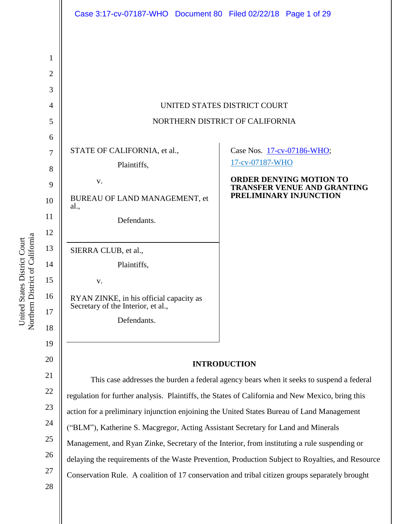|                | Case 3:17-cv-07187-WHO Document 80 Filed 02/22/18 Page 1 of 29                                   |                                                                      |
|----------------|--------------------------------------------------------------------------------------------------|----------------------------------------------------------------------|
|                |                                                                                                  |                                                                      |
| 1              |                                                                                                  |                                                                      |
| $\overline{2}$ |                                                                                                  |                                                                      |
| 3              |                                                                                                  |                                                                      |
| $\overline{4}$ | UNITED STATES DISTRICT COURT                                                                     |                                                                      |
| 5              | NORTHERN DISTRICT OF CALIFORNIA                                                                  |                                                                      |
| 6              |                                                                                                  |                                                                      |
| 7              | STATE OF CALIFORNIA, et al.,                                                                     | Case Nos. 17-cv-07186-WHO;                                           |
| 8              | Plaintiffs,                                                                                      | 17-cv-07187-WHO                                                      |
| 9              | V.                                                                                               | <b>ORDER DENYING MOTION TO</b><br><b>TRANSFER VENUE AND GRANTING</b> |
| 10             | BUREAU OF LAND MANAGEMENT, et<br>al.,                                                            | PRELIMINARY INJUNCTION                                               |
| 11             | Defendants.                                                                                      |                                                                      |
| 12             |                                                                                                  |                                                                      |
| 13             | SIERRA CLUB, et al.,                                                                             |                                                                      |
| 14             | Plaintiffs,                                                                                      |                                                                      |
| 15             | V.                                                                                               |                                                                      |
| 16             | RYAN ZINKE, in his official capacity as<br>Secretary of the Interior, et al.,                    |                                                                      |
| 17             | Defendants.                                                                                      |                                                                      |
| 18             |                                                                                                  |                                                                      |
| 19             |                                                                                                  |                                                                      |
| 20             | <b>INTRODUCTION</b>                                                                              |                                                                      |
| 21             | This case addresses the burden a federal agency bears when it seeks to suspend a federal         |                                                                      |
| 22             | regulation for further analysis. Plaintiffs, the States of California and New Mexico, bring this |                                                                      |
| 23             | action for a preliminary injunction enjoining the United States Bureau of Land Management        |                                                                      |
| 24             | ("BLM"), Katherine S. Macgregor, Acting Assistant Secretary for Land and Minerals                |                                                                      |
| 25             | Management, and Ryan Zinke, Secretary of the Interior, from instituting a rule suspending or     |                                                                      |
| 26             | delaying the requirements of the Waste Prevention, Production Subject to Royalties, and Resource |                                                                      |
| 27             | Conservation Rule. A coalition of 17 conservation and tribal citizen groups separately brought   |                                                                      |
| 28             |                                                                                                  |                                                                      |

United States District Court<br>Northem District of California Northern District of California United States District Court

 $\overline{2}$ 21 22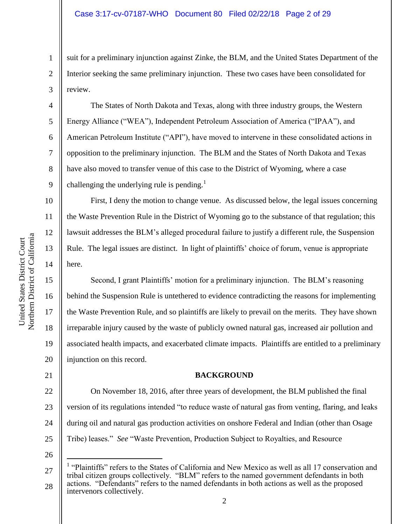suit for a preliminary injunction against Zinke, the BLM, and the United States Department of the Interior seeking the same preliminary injunction. These two cases have been consolidated for review.

The States of North Dakota and Texas, along with three industry groups, the Western Energy Alliance ("WEA"), Independent Petroleum Association of America ("IPAA"), and American Petroleum Institute ("API"), have moved to intervene in these consolidated actions in opposition to the preliminary injunction. The BLM and the States of North Dakota and Texas have also moved to transfer venue of this case to the District of Wyoming, where a case challenging the underlying rule is pending. $<sup>1</sup>$ </sup>

First, I deny the motion to change venue. As discussed below, the legal issues concerning the Waste Prevention Rule in the District of Wyoming go to the substance of that regulation; this lawsuit addresses the BLM's alleged procedural failure to justify a different rule, the Suspension Rule. The legal issues are distinct. In light of plaintiffs' choice of forum, venue is appropriate here.

Second, I grant Plaintiffs' motion for a preliminary injunction. The BLM's reasoning behind the Suspension Rule is untethered to evidence contradicting the reasons for implementing the Waste Prevention Rule, and so plaintiffs are likely to prevail on the merits. They have shown irreparable injury caused by the waste of publicly owned natural gas, increased air pollution and associated health impacts, and exacerbated climate impacts. Plaintiffs are entitled to a preliminary injunction on this record.

#### **BACKGROUND**

22 23 24 25 On November 18, 2016, after three years of development, the BLM published the final version of its regulations intended "to reduce waste of natural gas from venting, flaring, and leaks during oil and natural gas production activities on onshore Federal and Indian (other than Osage Tribe) leases." *See* "Waste Prevention, Production Subject to Royalties, and Resource

26

 $\overline{a}$ 

1

2

3

4

5

6

7

8

9

10

11

12

13

14

15

16

17

18

19

20

21

<sup>27</sup> 28 <sup>1</sup> "Plaintiffs" refers to the States of California and New Mexico as well as all 17 conservation and tribal citizen groups collectively. "BLM" refers to the named government defendants in both actions. "Defendants" refers to the named defendants in both actions as well as the proposed intervenors collectively.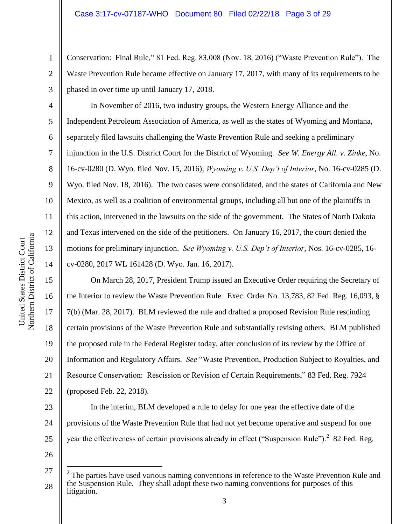Conservation: Final Rule," 81 Fed. Reg. 83,008 (Nov. 18, 2016) ("Waste Prevention Rule"). The Waste Prevention Rule became effective on January 17, 2017, with many of its requirements to be phased in over time up until January 17, 2018.

In November of 2016, two industry groups, the Western Energy Alliance and the Independent Petroleum Association of America, as well as the states of Wyoming and Montana, separately filed lawsuits challenging the Waste Prevention Rule and seeking a preliminary injunction in the U.S. District Court for the District of Wyoming. *See W. Energy All. v. Zinke*, No. 16-cv-0280 (D. Wyo. filed Nov. 15, 2016); *Wyoming v. U.S. Dep't of Interior*, No. 16-cv-0285 (D. Wyo. filed Nov. 18, 2016). The two cases were consolidated, and the states of California and New Mexico, as well as a coalition of environmental groups, including all but one of the plaintiffs in this action, intervened in the lawsuits on the side of the government. The States of North Dakota and Texas intervened on the side of the petitioners. On January 16, 2017, the court denied the motions for preliminary injunction. *See Wyoming v. U.S. Dep't of Interior*, Nos. 16-cv-0285, 16 cv-0280, 2017 WL 161428 (D. Wyo. Jan. 16, 2017).

On March 28, 2017, President Trump issued an Executive Order requiring the Secretary of the Interior to review the Waste Prevention Rule. Exec. Order No. 13,783, 82 Fed. Reg. 16,093, § 7(b) (Mar. 28, 2017). BLM reviewed the rule and drafted a proposed Revision Rule rescinding certain provisions of the Waste Prevention Rule and substantially revising others. BLM published the proposed rule in the Federal Register today, after conclusion of its review by the Office of Information and Regulatory Affairs. *See* "Waste Prevention, Production Subject to Royalties, and Resource Conservation: Rescission or Revision of Certain Requirements," 83 Fed. Reg. 7924 (proposed Feb. 22, 2018).

23 24 25 In the interim, BLM developed a rule to delay for one year the effective date of the provisions of the Waste Prevention Rule that had not yet become operative and suspend for one year the effectiveness of certain provisions already in effect ("Suspension Rule").<sup>2</sup> 82 Fed. Reg.

26

 $\overline{a}$ 

1

2

3

4

5

6

7

8

9

10

11

12

13

14

15

16

17

18

19

20

21

<sup>27</sup> 28  $2^2$  The parties have used various naming conventions in reference to the Waste Prevention Rule and the Suspension Rule. They shall adopt these two naming conventions for purposes of this litigation.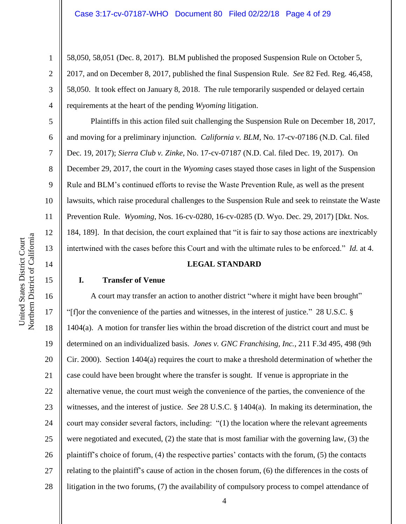58,050, 58,051 (Dec. 8, 2017). BLM published the proposed Suspension Rule on October 5, 2017, and on December 8, 2017, published the final Suspension Rule. *See* 82 Fed. Reg. 46,458, 58,050. It took effect on January 8, 2018. The rule temporarily suspended or delayed certain requirements at the heart of the pending *Wyoming* litigation.

Plaintiffs in this action filed suit challenging the Suspension Rule on December 18, 2017, and moving for a preliminary injunction. *California v. BLM*, No. 17-cv-07186 (N.D. Cal. filed Dec. 19, 2017); *Sierra Club v. Zinke*, No. 17-cv-07187 (N.D. Cal. filed Dec. 19, 2017). On December 29, 2017, the court in the *Wyoming* cases stayed those cases in light of the Suspension Rule and BLM's continued efforts to revise the Waste Prevention Rule, as well as the present lawsuits, which raise procedural challenges to the Suspension Rule and seek to reinstate the Waste Prevention Rule. *Wyoming*, Nos. 16-cv-0280, 16-cv-0285 (D. Wyo. Dec. 29, 2017) [Dkt. Nos. 184, 189]. In that decision, the court explained that "it is fair to say those actions are inextricably intertwined with the cases before this Court and with the ultimate rules to be enforced." *Id.* at 4.

#### **LEGAL STANDARD**

#### **I. Transfer of Venue**

16 17 18 19 20 21 22 23 24 25 26 27 28 A court may transfer an action to another district "where it might have been brought" "[f]or the convenience of the parties and witnesses, in the interest of justice." 28 U.S.C. § 1404(a). A motion for transfer lies within the broad discretion of the district court and must be determined on an individualized basis. *Jones v. GNC Franchising, Inc.*, 211 F.3d 495, 498 (9th Cir. 2000). Section 1404(a) requires the court to make a threshold determination of whether the case could have been brought where the transfer is sought. If venue is appropriate in the alternative venue, the court must weigh the convenience of the parties, the convenience of the witnesses, and the interest of justice. *See* 28 U.S.C. § 1404(a). In making its determination, the court may consider several factors, including: "(1) the location where the relevant agreements were negotiated and executed, (2) the state that is most familiar with the governing law, (3) the plaintiff's choice of forum, (4) the respective parties' contacts with the forum, (5) the contacts relating to the plaintiff's cause of action in the chosen forum, (6) the differences in the costs of litigation in the two forums, (7) the availability of compulsory process to compel attendance of

1

2

3

4

5

6

7

8

9

10

11

12

13

14

15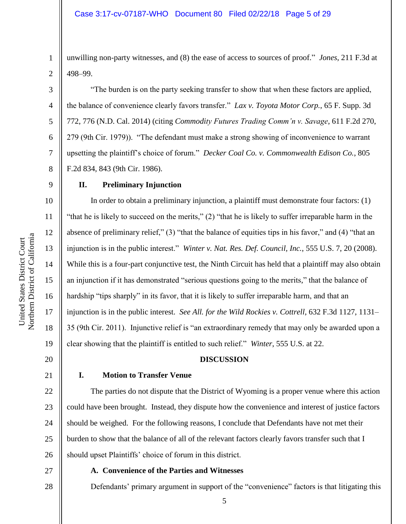unwilling non-party witnesses, and (8) the ease of access to sources of proof." *Jones*, 211 F.3d at 498–99.

"The burden is on the party seeking transfer to show that when these factors are applied, the balance of convenience clearly favors transfer." *Lax v. Toyota Motor Corp.*, 65 F. Supp. 3d 772, 776 (N.D. Cal. 2014) (citing *Commodity Futures Trading Comm'n v. Savage*, 611 F.2d 270, 279 (9th Cir. 1979)). "The defendant must make a strong showing of inconvenience to warrant upsetting the plaintiff's choice of forum." *Decker Coal Co. v. Commonwealth Edison Co.*, 805 F.2d 834, 843 (9th Cir. 1986).

#### 9

1

2

3

4

5

6

7

8

10

11

12

13

14

15

16

17

18

19

20

#### **II. Preliminary Injunction**

In order to obtain a preliminary injunction, a plaintiff must demonstrate four factors: (1) "that he is likely to succeed on the merits," (2) "that he is likely to suffer irreparable harm in the absence of preliminary relief," (3) "that the balance of equities tips in his favor," and (4) "that an injunction is in the public interest." *Winter v. Nat. Res. Def. Council, Inc.*, 555 U.S. 7, 20 (2008). While this is a four-part conjunctive test, the Ninth Circuit has held that a plaintiff may also obtain an injunction if it has demonstrated "serious questions going to the merits," that the balance of hardship "tips sharply" in its favor, that it is likely to suffer irreparable harm, and that an injunction is in the public interest. *See All. for the Wild Rockies v. Cottrell*, 632 F.3d 1127, 1131– 35 (9th Cir. 2011). Injunctive relief is "an extraordinary remedy that may only be awarded upon a clear showing that the plaintiff is entitled to such relief." *Winter*, 555 U.S. at 22.

#### **DISCUSSION**

#### 21

22

23

24

25

26

#### **I. Motion to Transfer Venue**

The parties do not dispute that the District of Wyoming is a proper venue where this action could have been brought. Instead, they dispute how the convenience and interest of justice factors should be weighed. For the following reasons, I conclude that Defendants have not met their burden to show that the balance of all of the relevant factors clearly favors transfer such that I should upset Plaintiffs' choice of forum in this district.

27

28

#### **A. Convenience of the Parties and Witnesses**

Defendants' primary argument in support of the "convenience" factors is that litigating this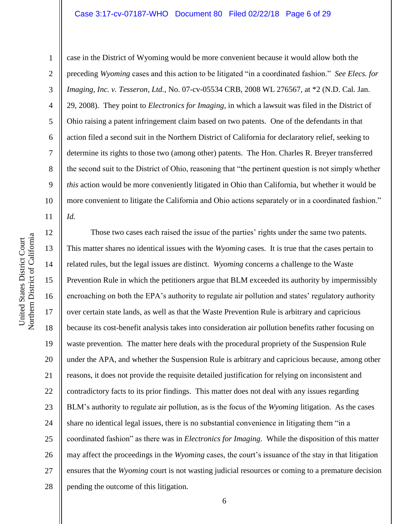#### Case 3:17-cv-07187-WHO Document 80 Filed 02/22/18 Page 6 of 29

1

2 3 4 5 6 7 8 9 10 11 case in the District of Wyoming would be more convenient because it would allow both the preceding *Wyoming* cases and this action to be litigated "in a coordinated fashion." *See Elecs. for Imaging, Inc. v. Tesseron, Ltd.*, No. 07-cv-05534 CRB, 2008 WL 276567, at \*2 (N.D. Cal. Jan. 29, 2008). They point to *Electronics for Imaging*, in which a lawsuit was filed in the District of Ohio raising a patent infringement claim based on two patents. One of the defendants in that action filed a second suit in the Northern District of California for declaratory relief, seeking to determine its rights to those two (among other) patents. The Hon. Charles R. Breyer transferred the second suit to the District of Ohio, reasoning that "the pertinent question is not simply whether *this* action would be more conveniently litigated in Ohio than California, but whether it would be more convenient to litigate the California and Ohio actions separately or in a coordinated fashion." *Id.*

12 13 14 15 16 17 18 19 20 21 22 23 24 25 26 27 28 Those two cases each raised the issue of the parties' rights under the same two patents. This matter shares no identical issues with the *Wyoming* cases. It is true that the cases pertain to related rules, but the legal issues are distinct. *Wyoming* concerns a challenge to the Waste Prevention Rule in which the petitioners argue that BLM exceeded its authority by impermissibly encroaching on both the EPA's authority to regulate air pollution and states' regulatory authority over certain state lands, as well as that the Waste Prevention Rule is arbitrary and capricious because its cost-benefit analysis takes into consideration air pollution benefits rather focusing on waste prevention. The matter here deals with the procedural propriety of the Suspension Rule under the APA, and whether the Suspension Rule is arbitrary and capricious because, among other reasons, it does not provide the requisite detailed justification for relying on inconsistent and contradictory facts to its prior findings. This matter does not deal with any issues regarding BLM's authority to regulate air pollution, as is the focus of the *Wyoming* litigation. As the cases share no identical legal issues, there is no substantial convenience in litigating them "in a coordinated fashion" as there was in *Electronics for Imaging*. While the disposition of this matter may affect the proceedings in the *Wyoming* cases, the court's issuance of the stay in that litigation ensures that the *Wyoming* court is not wasting judicial resources or coming to a premature decision pending the outcome of this litigation.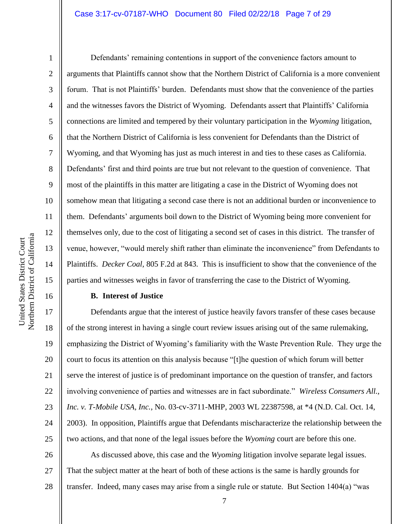#### Case 3:17-cv-07187-WHO Document 80 Filed 02/22/18 Page 7 of 29

1

2

3

4

5

6

7

8

9

10

11

12

13

14

15

16

Defendants' remaining contentions in support of the convenience factors amount to arguments that Plaintiffs cannot show that the Northern District of California is a more convenient forum. That is not Plaintiffs' burden. Defendants must show that the convenience of the parties and the witnesses favors the District of Wyoming. Defendants assert that Plaintiffs' California connections are limited and tempered by their voluntary participation in the *Wyoming* litigation, that the Northern District of California is less convenient for Defendants than the District of Wyoming, and that Wyoming has just as much interest in and ties to these cases as California. Defendants' first and third points are true but not relevant to the question of convenience. That most of the plaintiffs in this matter are litigating a case in the District of Wyoming does not somehow mean that litigating a second case there is not an additional burden or inconvenience to them. Defendants' arguments boil down to the District of Wyoming being more convenient for themselves only, due to the cost of litigating a second set of cases in this district. The transfer of venue, however, "would merely shift rather than eliminate the inconvenience" from Defendants to Plaintiffs. *Decker Coal*, 805 F.2d at 843. This is insufficient to show that the convenience of the parties and witnesses weighs in favor of transferring the case to the District of Wyoming.

#### **B. Interest of Justice**

17 18 19 20 21 22 23 24 25 Defendants argue that the interest of justice heavily favors transfer of these cases because of the strong interest in having a single court review issues arising out of the same rulemaking, emphasizing the District of Wyoming's familiarity with the Waste Prevention Rule. They urge the court to focus its attention on this analysis because "[t]he question of which forum will better serve the interest of justice is of predominant importance on the question of transfer, and factors involving convenience of parties and witnesses are in fact subordinate." *Wireless Consumers All., Inc. v. T-Mobile USA, Inc.*, No. 03-cv-3711-MHP, 2003 WL 22387598, at \*4 (N.D. Cal. Oct. 14, 2003). In opposition, Plaintiffs argue that Defendants mischaracterize the relationship between the two actions, and that none of the legal issues before the *Wyoming* court are before this one.

26 27 28 As discussed above, this case and the *Wyoming* litigation involve separate legal issues. That the subject matter at the heart of both of these actions is the same is hardly grounds for transfer. Indeed, many cases may arise from a single rule or statute. But Section 1404(a) "was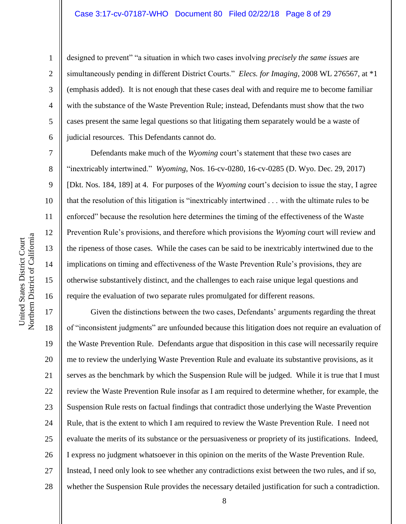### Case 3:17-cv-07187-WHO Document 80 Filed 02/22/18 Page 8 of 29

designed to prevent" "a situation in which two cases involving *precisely the same issues* are simultaneously pending in different District Courts." *Elecs. for Imaging*, 2008 WL 276567, at \*1 (emphasis added). It is not enough that these cases deal with and require me to become familiar with the substance of the Waste Prevention Rule; instead, Defendants must show that the two cases present the same legal questions so that litigating them separately would be a waste of judicial resources. This Defendants cannot do.

Defendants make much of the *Wyoming* court's statement that these two cases are "inextricably intertwined." *Wyoming*, Nos. 16-cv-0280, 16-cv-0285 (D. Wyo. Dec. 29, 2017) [Dkt. Nos. 184, 189] at 4. For purposes of the *Wyoming* court's decision to issue the stay, I agree that the resolution of this litigation is "inextricably intertwined . . . with the ultimate rules to be enforced" because the resolution here determines the timing of the effectiveness of the Waste Prevention Rule's provisions, and therefore which provisions the *Wyoming* court will review and the ripeness of those cases. While the cases can be said to be inextricably intertwined due to the implications on timing and effectiveness of the Waste Prevention Rule's provisions, they are otherwise substantively distinct, and the challenges to each raise unique legal questions and require the evaluation of two separate rules promulgated for different reasons.

17 18 19 20 21 22 23 24 25 26 27 28 Given the distinctions between the two cases, Defendants' arguments regarding the threat of "inconsistent judgments" are unfounded because this litigation does not require an evaluation of the Waste Prevention Rule. Defendants argue that disposition in this case will necessarily require me to review the underlying Waste Prevention Rule and evaluate its substantive provisions, as it serves as the benchmark by which the Suspension Rule will be judged. While it is true that I must review the Waste Prevention Rule insofar as I am required to determine whether, for example, the Suspension Rule rests on factual findings that contradict those underlying the Waste Prevention Rule, that is the extent to which I am required to review the Waste Prevention Rule. I need not evaluate the merits of its substance or the persuasiveness or propriety of its justifications. Indeed, I express no judgment whatsoever in this opinion on the merits of the Waste Prevention Rule. Instead, I need only look to see whether any contradictions exist between the two rules, and if so, whether the Suspension Rule provides the necessary detailed justification for such a contradiction.

1

2

3

4

5

6

7

8

9

10

11

12

13

14

15

16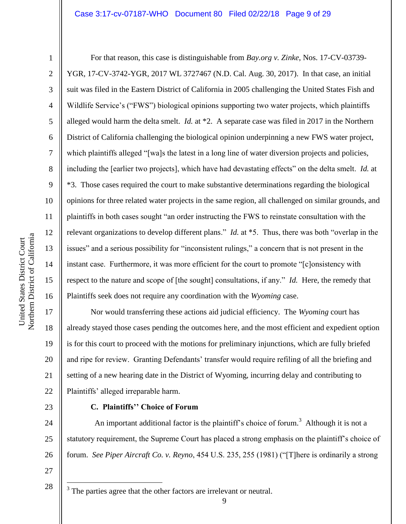## Case 3:17-cv-07187-WHO Document 80 Filed 02/22/18 Page 9 of 29

1

2

3

4

5

6

7

8

9

10

11

12

13

14

15

16

For that reason, this case is distinguishable from *Bay.org v. Zinke*, Nos. 17-CV-03739- YGR, 17-CV-3742-YGR, 2017 WL 3727467 (N.D. Cal. Aug. 30, 2017). In that case, an initial suit was filed in the Eastern District of California in 2005 challenging the United States Fish and Wildlife Service's ("FWS") biological opinions supporting two water projects, which plaintiffs alleged would harm the delta smelt. *Id.* at \*2. A separate case was filed in 2017 in the Northern District of California challenging the biological opinion underpinning a new FWS water project, which plaintiffs alleged "[wa]s the latest in a long line of water diversion projects and policies, including the [earlier two projects], which have had devastating effects" on the delta smelt. *Id.* at \*3. Those cases required the court to make substantive determinations regarding the biological opinions for three related water projects in the same region, all challenged on similar grounds, and plaintiffs in both cases sought "an order instructing the FWS to reinstate consultation with the relevant organizations to develop different plans." *Id.* at \*5. Thus, there was both "overlap in the issues" and a serious possibility for "inconsistent rulings," a concern that is not present in the instant case. Furthermore, it was more efficient for the court to promote "[c]onsistency with respect to the nature and scope of [the sought] consultations, if any." *Id.* Here, the remedy that Plaintiffs seek does not require any coordination with the *Wyoming* case.

17 18 19 20 21 22 Nor would transferring these actions aid judicial efficiency. The *Wyoming* court has already stayed those cases pending the outcomes here, and the most efficient and expedient option is for this court to proceed with the motions for preliminary injunctions, which are fully briefed and ripe for review. Granting Defendants' transfer would require refiling of all the briefing and setting of a new hearing date in the District of Wyoming, incurring delay and contributing to Plaintiffs' alleged irreparable harm.

23

#### **C. Plaintiffs'' Choice of Forum**

24 25 26 An important additional factor is the plaintiff's choice of forum.<sup>3</sup> Although it is not a statutory requirement, the Supreme Court has placed a strong emphasis on the plaintiff's choice of forum. *See Piper Aircraft Co. v. Reyno*, 454 U.S. 235, 255 (1981) ("[T]here is ordinarily a strong

27 28

 $\overline{a}$ 

 $3$  The parties agree that the other factors are irrelevant or neutral.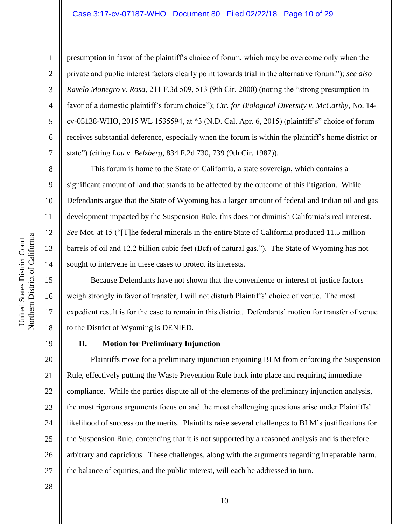#### Case 3:17-cv-07187-WHO Document 80 Filed 02/22/18 Page 10 of 29

1

2

3

4

5

6

7

8

9

10

11

12

13

14

15

16

17

18

presumption in favor of the plaintiff's choice of forum, which may be overcome only when the private and public interest factors clearly point towards trial in the alternative forum."); *see also Ravelo Monegro v. Rosa*, 211 F.3d 509, 513 (9th Cir. 2000) (noting the "strong presumption in favor of a domestic plaintiff's forum choice"); *Ctr. for Biological Diversity v. McCarthy*, No. 14 cv-05138-WHO, 2015 WL 1535594, at \*3 (N.D. Cal. Apr. 6, 2015) (plaintiff's" choice of forum receives substantial deference, especially when the forum is within the plaintiff's home district or state") (citing *Lou v. Belzberg*, 834 F.2d 730, 739 (9th Cir. 1987)).

This forum is home to the State of California, a state sovereign, which contains a significant amount of land that stands to be affected by the outcome of this litigation. While Defendants argue that the State of Wyoming has a larger amount of federal and Indian oil and gas development impacted by the Suspension Rule, this does not diminish California's real interest. *See* Mot. at 15 ("[T]he federal minerals in the entire State of California produced 11.5 million barrels of oil and 12.2 billion cubic feet (Bcf) of natural gas."). The State of Wyoming has not sought to intervene in these cases to protect its interests.

Because Defendants have not shown that the convenience or interest of justice factors weigh strongly in favor of transfer, I will not disturb Plaintiffs' choice of venue. The most expedient result is for the case to remain in this district. Defendants' motion for transfer of venue to the District of Wyoming is DENIED.

19

#### **II. Motion for Preliminary Injunction**

20 21 22 23 24 25 26 27 Plaintiffs move for a preliminary injunction enjoining BLM from enforcing the Suspension Rule, effectively putting the Waste Prevention Rule back into place and requiring immediate compliance. While the parties dispute all of the elements of the preliminary injunction analysis, the most rigorous arguments focus on and the most challenging questions arise under Plaintiffs' likelihood of success on the merits. Plaintiffs raise several challenges to BLM's justifications for the Suspension Rule, contending that it is not supported by a reasoned analysis and is therefore arbitrary and capricious. These challenges, along with the arguments regarding irreparable harm, the balance of equities, and the public interest, will each be addressed in turn.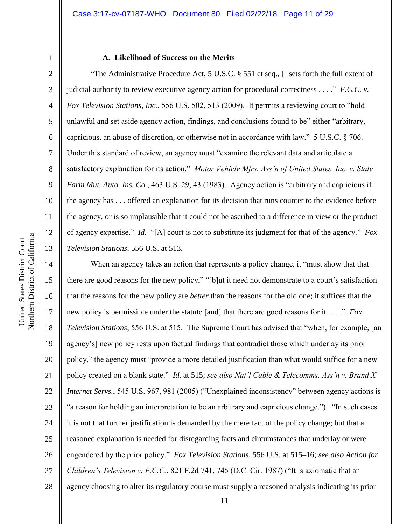5

6

7

8

9

10

11

12

13

#### **A. Likelihood of Success on the Merits**

"The Administrative Procedure Act, 5 U.S.C. § 551 et seq., [] sets forth the full extent of judicial authority to review executive agency action for procedural correctness . . . ." *F.C.C. v. Fox Television Stations, Inc.*, 556 U.S. 502, 513 (2009). It permits a reviewing court to "hold unlawful and set aside agency action, findings, and conclusions found to be" either "arbitrary, capricious, an abuse of discretion, or otherwise not in accordance with law." 5 U.S.C. § 706. Under this standard of review, an agency must "examine the relevant data and articulate a satisfactory explanation for its action." *Motor Vehicle Mfrs. Ass'n of United States, Inc. v. State Farm Mut. Auto. Ins. Co.*, 463 U.S. 29, 43 (1983). Agency action is "arbitrary and capricious if the agency has . . . offered an explanation for its decision that runs counter to the evidence before the agency, or is so implausible that it could not be ascribed to a difference in view or the product of agency expertise." *Id.* "[A] court is not to substitute its judgment for that of the agency." *Fox Television Stations*, 556 U.S. at 513.

14 15 16 17 18 19 20 21 22 23 24 25 26 27 28 When an agency takes an action that represents a policy change, it "must show that that there are good reasons for the new policy," "[b]ut it need not demonstrate to a court's satisfaction that the reasons for the new policy are *better* than the reasons for the old one; it suffices that the new policy is permissible under the statute [and] that there are good reasons for it . . . ." *Fox Television Stations*, 556 U.S. at 515. The Supreme Court has advised that "when, for example, [an agency's] new policy rests upon factual findings that contradict those which underlay its prior policy," the agency must "provide a more detailed justification than what would suffice for a new policy created on a blank state." *Id.* at 515; *see also Nat'l Cable & Telecomms. Ass'n v. Brand X Internet Servs.*, 545 U.S. 967, 981 (2005) ("Unexplained inconsistency" between agency actions is "a reason for holding an interpretation to be an arbitrary and capricious change."). "In such cases it is not that further justification is demanded by the mere fact of the policy change; but that a reasoned explanation is needed for disregarding facts and circumstances that underlay or were engendered by the prior policy." *Fox Television Stations*, 556 U.S. at 515–16; *see also Action for Children's Television v. F.C.C.*, 821 F.2d 741, 745 (D.C. Cir. 1987) ("It is axiomatic that an agency choosing to alter its regulatory course must supply a reasoned analysis indicating its prior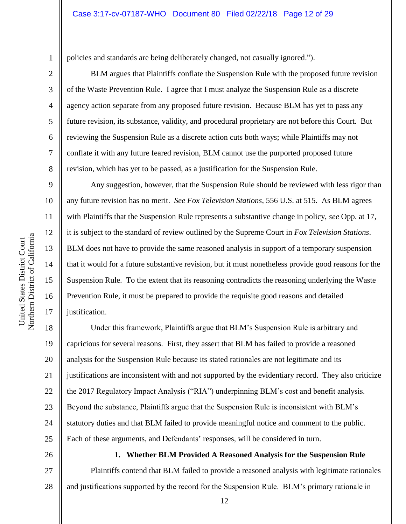1 2 3

4

5

6

7

8

9

10

11

12

13

14

15

16

17

policies and standards are being deliberately changed, not casually ignored.").

BLM argues that Plaintiffs conflate the Suspension Rule with the proposed future revision of the Waste Prevention Rule. I agree that I must analyze the Suspension Rule as a discrete agency action separate from any proposed future revision. Because BLM has yet to pass any future revision, its substance, validity, and procedural proprietary are not before this Court. But reviewing the Suspension Rule as a discrete action cuts both ways; while Plaintiffs may not conflate it with any future feared revision, BLM cannot use the purported proposed future revision, which has yet to be passed, as a justification for the Suspension Rule.

Any suggestion, however, that the Suspension Rule should be reviewed with less rigor than any future revision has no merit. *See Fox Television Stations*, 556 U.S. at 515. As BLM agrees with Plaintiffs that the Suspension Rule represents a substantive change in policy, *see* Opp. at 17, it is subject to the standard of review outlined by the Supreme Court in *Fox Television Stations*. BLM does not have to provide the same reasoned analysis in support of a temporary suspension that it would for a future substantive revision, but it must nonetheless provide good reasons for the Suspension Rule. To the extent that its reasoning contradicts the reasoning underlying the Waste Prevention Rule, it must be prepared to provide the requisite good reasons and detailed justification.

18 19 20 21 22 23 24 25 Under this framework, Plaintiffs argue that BLM's Suspension Rule is arbitrary and capricious for several reasons. First, they assert that BLM has failed to provide a reasoned analysis for the Suspension Rule because its stated rationales are not legitimate and its justifications are inconsistent with and not supported by the evidentiary record. They also criticize the 2017 Regulatory Impact Analysis ("RIA") underpinning BLM's cost and benefit analysis. Beyond the substance, Plaintiffs argue that the Suspension Rule is inconsistent with BLM's statutory duties and that BLM failed to provide meaningful notice and comment to the public. Each of these arguments, and Defendants' responses, will be considered in turn.

26

**1. Whether BLM Provided A Reasoned Analysis for the Suspension Rule**

27 28 Plaintiffs contend that BLM failed to provide a reasoned analysis with legitimate rationales and justifications supported by the record for the Suspension Rule. BLM's primary rationale in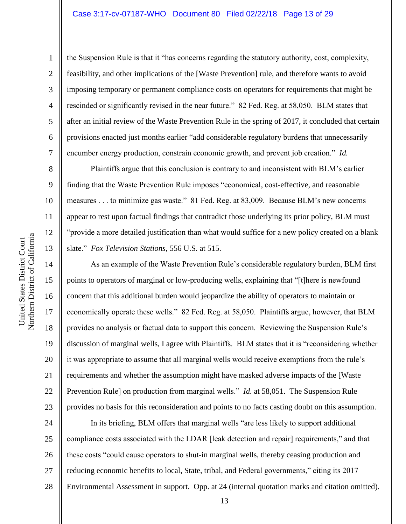#### Case 3:17-cv-07187-WHO Document 80 Filed 02/22/18 Page 13 of 29

the Suspension Rule is that it "has concerns regarding the statutory authority, cost, complexity, feasibility, and other implications of the [Waste Prevention] rule, and therefore wants to avoid imposing temporary or permanent compliance costs on operators for requirements that might be rescinded or significantly revised in the near future." 82 Fed. Reg. at 58,050. BLM states that after an initial review of the Waste Prevention Rule in the spring of 2017, it concluded that certain provisions enacted just months earlier "add considerable regulatory burdens that unnecessarily encumber energy production, constrain economic growth, and prevent job creation." *Id.*

Plaintiffs argue that this conclusion is contrary to and inconsistent with BLM's earlier finding that the Waste Prevention Rule imposes "economical, cost-effective, and reasonable measures . . . to minimize gas waste." 81 Fed. Reg. at 83,009. Because BLM's new concerns appear to rest upon factual findings that contradict those underlying its prior policy, BLM must "provide a more detailed justification than what would suffice for a new policy created on a blank slate." *Fox Television Stations*, 556 U.S. at 515.

As an example of the Waste Prevention Rule's considerable regulatory burden, BLM first points to operators of marginal or low-producing wells, explaining that "[t]here is newfound concern that this additional burden would jeopardize the ability of operators to maintain or economically operate these wells." 82 Fed. Reg. at 58,050. Plaintiffs argue, however, that BLM provides no analysis or factual data to support this concern. Reviewing the Suspension Rule's discussion of marginal wells, I agree with Plaintiffs. BLM states that it is "reconsidering whether it was appropriate to assume that all marginal wells would receive exemptions from the rule's requirements and whether the assumption might have masked adverse impacts of the [Waste Prevention Rule] on production from marginal wells." *Id.* at 58,051. The Suspension Rule provides no basis for this reconsideration and points to no facts casting doubt on this assumption.

24 25 26 27 28 In its briefing, BLM offers that marginal wells "are less likely to support additional compliance costs associated with the LDAR [leak detection and repair] requirements," and that these costs "could cause operators to shut-in marginal wells, thereby ceasing production and reducing economic benefits to local, State, tribal, and Federal governments," citing its 2017 Environmental Assessment in support. Opp. at 24 (internal quotation marks and citation omitted).

1

2

3

4

5

6

7

8

9

10

11

12

13

14

15

16

17

18

19

20

21

22

23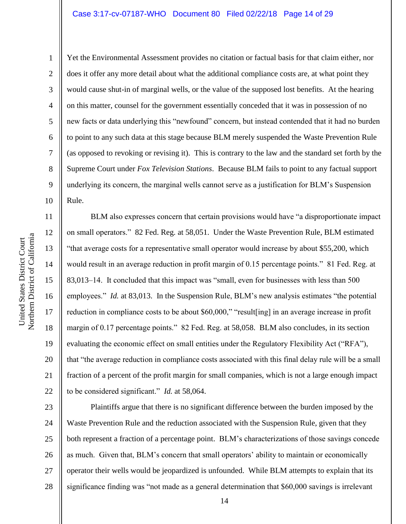#### Case 3:17-cv-07187-WHO Document 80 Filed 02/22/18 Page 14 of 29

Northern District of California Northern District of California United States District Court United States District Court

1

2

3

4

5

6

7

8

9

10

Yet the Environmental Assessment provides no citation or factual basis for that claim either, nor does it offer any more detail about what the additional compliance costs are, at what point they would cause shut-in of marginal wells, or the value of the supposed lost benefits. At the hearing on this matter, counsel for the government essentially conceded that it was in possession of no new facts or data underlying this "newfound" concern, but instead contended that it had no burden to point to any such data at this stage because BLM merely suspended the Waste Prevention Rule (as opposed to revoking or revising it). This is contrary to the law and the standard set forth by the Supreme Court under *Fox Television Stations*. Because BLM fails to point to any factual support underlying its concern, the marginal wells cannot serve as a justification for BLM's Suspension Rule.

11 12 13 14 15 16 17 18 19 20 21 22 BLM also expresses concern that certain provisions would have "a disproportionate impact on small operators." 82 Fed. Reg. at 58,051. Under the Waste Prevention Rule, BLM estimated "that average costs for a representative small operator would increase by about \$55,200, which would result in an average reduction in profit margin of 0.15 percentage points." 81 Fed. Reg. at 83,013–14. It concluded that this impact was "small, even for businesses with less than 500 employees." *Id.* at 83,013. In the Suspension Rule, BLM's new analysis estimates "the potential reduction in compliance costs to be about \$60,000," "result[ing] in an average increase in profit margin of 0.17 percentage points." 82 Fed. Reg. at 58,058. BLM also concludes, in its section evaluating the economic effect on small entities under the Regulatory Flexibility Act ("RFA"), that "the average reduction in compliance costs associated with this final delay rule will be a small fraction of a percent of the profit margin for small companies, which is not a large enough impact to be considered significant." *Id.* at 58,064.

23 24 25 26 27 28 Plaintiffs argue that there is no significant difference between the burden imposed by the Waste Prevention Rule and the reduction associated with the Suspension Rule, given that they both represent a fraction of a percentage point. BLM's characterizations of those savings concede as much. Given that, BLM's concern that small operators' ability to maintain or economically operator their wells would be jeopardized is unfounded. While BLM attempts to explain that its significance finding was "not made as a general determination that \$60,000 savings is irrelevant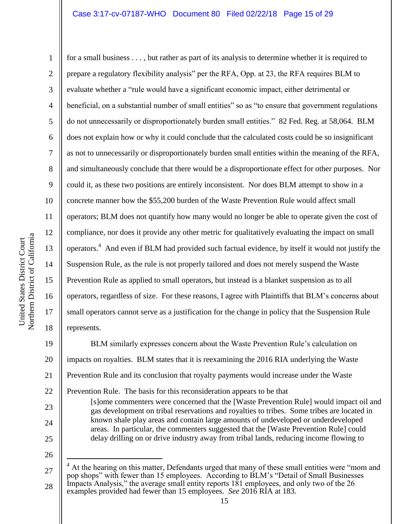#### Case 3:17-cv-07187-WHO Document 80 Filed 02/22/18 Page 15 of 29

Northern District of California Northern District of California United States District Court United States District Court

1

2

3

4

5

6

7

8

9

10

11

12

13

14

15

16

17

18

for a small business . . . , but rather as part of its analysis to determine whether it is required to prepare a regulatory flexibility analysis" per the RFA, Opp. at 23, the RFA requires BLM to evaluate whether a "rule would have a significant economic impact, either detrimental or beneficial, on a substantial number of small entities" so as "to ensure that government regulations do not unnecessarily or disproportionately burden small entities." 82 Fed. Reg. at 58,064. BLM does not explain how or why it could conclude that the calculated costs could be so insignificant as not to unnecessarily or disproportionately burden small entities within the meaning of the RFA, and simultaneously conclude that there would be a disproportionate effect for other purposes. Nor could it, as these two positions are entirely inconsistent. Nor does BLM attempt to show in a concrete manner how the \$55,200 burden of the Waste Prevention Rule would affect small operators; BLM does not quantify how many would no longer be able to operate given the cost of compliance, nor does it provide any other metric for qualitatively evaluating the impact on small operators.<sup>4</sup> And even if BLM had provided such factual evidence, by itself it would not justify the Suspension Rule, as the rule is not properly tailored and does not merely suspend the Waste Prevention Rule as applied to small operators, but instead is a blanket suspension as to all operators, regardless of size. For these reasons, I agree with Plaintiffs that BLM's concerns about small operators cannot serve as a justification for the change in policy that the Suspension Rule represents.

19 20 21 22 BLM similarly expresses concern about the Waste Prevention Rule's calculation on impacts on royalties. BLM states that it is reexamining the 2016 RIA underlying the Waste Prevention Rule and its conclusion that royalty payments would increase under the Waste Prevention Rule. The basis for this reconsideration appears to be that

[s]ome commenters were concerned that the [Waste Prevention Rule] would impact oil and gas development on tribal reservations and royalties to tribes. Some tribes are located in known shale play areas and contain large amounts of undeveloped or underdeveloped areas. In particular, the commenters suggested that the [Waste Prevention Rule] could delay drilling on or drive industry away from tribal lands, reducing income flowing to

26

 $\overline{a}$ 

25

23

<sup>27</sup> 28 At the hearing on this matter, Defendants urged that many of these small entities were "mom and pop shops" with fewer than 15 employees. According to BLM's "Detail of Small Businesses Impacts Analysis," the average small entity reports 181 employees, and only two of the 26 examples provided had fewer than 15 employees. *See* 2016 RIA at 183.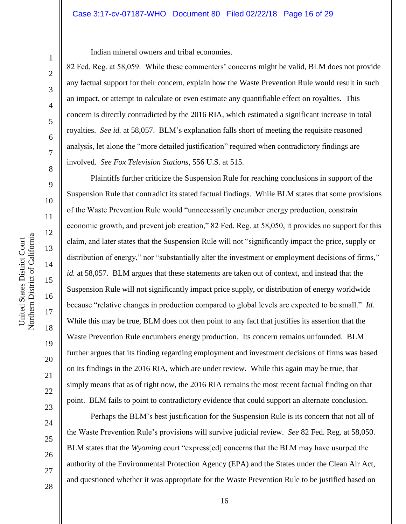#### Case 3:17-cv-07187-WHO Document 80 Filed 02/22/18 Page 16 of 29

United States District Court

United States District Court

1

2

3

4

5

6

7

8

9

Indian mineral owners and tribal economies.

82 Fed. Reg. at 58,059. While these commenters' concerns might be valid, BLM does not provide any factual support for their concern, explain how the Waste Prevention Rule would result in such an impact, or attempt to calculate or even estimate any quantifiable effect on royalties. This concern is directly contradicted by the 2016 RIA, which estimated a significant increase in total royalties. *See id.* at 58,057. BLM's explanation falls short of meeting the requisite reasoned analysis, let alone the "more detailed justification" required when contradictory findings are involved. *See Fox Television Stations*, 556 U.S. at 515.

Plaintiffs further criticize the Suspension Rule for reaching conclusions in support of the Suspension Rule that contradict its stated factual findings. While BLM states that some provisions of the Waste Prevention Rule would "unnecessarily encumber energy production, constrain economic growth, and prevent job creation," 82 Fed. Reg. at 58,050, it provides no support for this claim, and later states that the Suspension Rule will not "significantly impact the price, supply or distribution of energy," nor "substantially alter the investment or employment decisions of firms," *id.* at 58,057. BLM argues that these statements are taken out of context, and instead that the Suspension Rule will not significantly impact price supply, or distribution of energy worldwide because "relative changes in production compared to global levels are expected to be small." *Id.*  While this may be true, BLM does not then point to any fact that justifies its assertion that the Waste Prevention Rule encumbers energy production. Its concern remains unfounded. BLM further argues that its finding regarding employment and investment decisions of firms was based on its findings in the 2016 RIA, which are under review. While this again may be true, that simply means that as of right now, the 2016 RIA remains the most recent factual finding on that point. BLM fails to point to contradictory evidence that could support an alternate conclusion.

28

18

19

20

21

22

Perhaps the BLM's best justification for the Suspension Rule is its concern that not all of the Waste Prevention Rule's provisions will survive judicial review. *See* 82 Fed. Reg. at 58,050. BLM states that the *Wyoming* court "express[ed] concerns that the BLM may have usurped the authority of the Environmental Protection Agency (EPA) and the States under the Clean Air Act, and questioned whether it was appropriate for the Waste Prevention Rule to be justified based on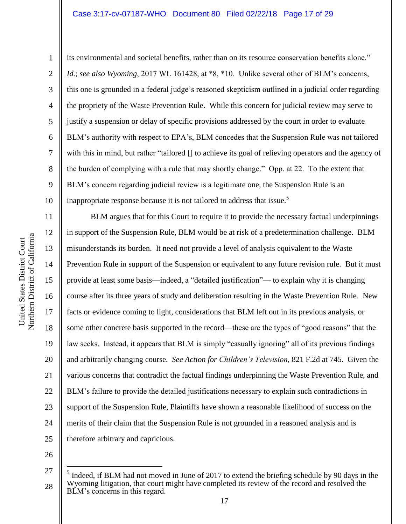#### Case 3:17-cv-07187-WHO Document 80 Filed 02/22/18 Page 17 of 29

1

2

3

4

5

6

7

8

9

10

11

12

13

14

15

16

17

18

19

20

21

22

23

24

25

its environmental and societal benefits, rather than on its resource conservation benefits alone." *Id.*; *see also Wyoming*, 2017 WL 161428, at \*8, \*10. Unlike several other of BLM's concerns, this one is grounded in a federal judge's reasoned skepticism outlined in a judicial order regarding the propriety of the Waste Prevention Rule. While this concern for judicial review may serve to justify a suspension or delay of specific provisions addressed by the court in order to evaluate BLM's authority with respect to EPA's, BLM concedes that the Suspension Rule was not tailored with this in mind, but rather "tailored [] to achieve its goal of relieving operators and the agency of the burden of complying with a rule that may shortly change." Opp. at 22. To the extent that BLM's concern regarding judicial review is a legitimate one, the Suspension Rule is an inappropriate response because it is not tailored to address that issue.<sup>5</sup>

BLM argues that for this Court to require it to provide the necessary factual underpinnings in support of the Suspension Rule, BLM would be at risk of a predetermination challenge. BLM misunderstands its burden. It need not provide a level of analysis equivalent to the Waste Prevention Rule in support of the Suspension or equivalent to any future revision rule. But it must provide at least some basis—indeed, a "detailed justification"— to explain why it is changing course after its three years of study and deliberation resulting in the Waste Prevention Rule. New facts or evidence coming to light, considerations that BLM left out in its previous analysis, or some other concrete basis supported in the record—these are the types of "good reasons" that the law seeks. Instead, it appears that BLM is simply "casually ignoring" all of its previous findings and arbitrarily changing course. *See Action for Children's Television*, 821 F.2d at 745. Given the various concerns that contradict the factual findings underpinning the Waste Prevention Rule, and BLM's failure to provide the detailed justifications necessary to explain such contradictions in support of the Suspension Rule, Plaintiffs have shown a reasonable likelihood of success on the merits of their claim that the Suspension Rule is not grounded in a reasoned analysis and is therefore arbitrary and capricious.

26

 $\overline{a}$ 

<sup>27</sup> 28 5 Indeed, if BLM had not moved in June of 2017 to extend the briefing schedule by 90 days in the Wyoming litigation, that court might have completed its review of the record and resolved the BLM's concerns in this regard.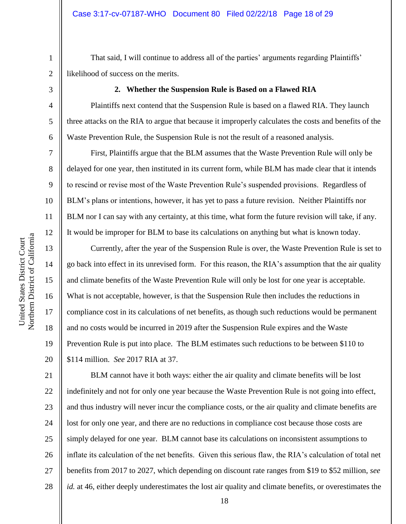That said, I will continue to address all of the parties' arguments regarding Plaintiffs' likelihood of success on the merits.

3

1

2

4

5

6

7

8

9

10

11

12

13

14

15

16

17

18

19

20

#### **2. Whether the Suspension Rule is Based on a Flawed RIA**

Plaintiffs next contend that the Suspension Rule is based on a flawed RIA. They launch three attacks on the RIA to argue that because it improperly calculates the costs and benefits of the Waste Prevention Rule, the Suspension Rule is not the result of a reasoned analysis.

First, Plaintiffs argue that the BLM assumes that the Waste Prevention Rule will only be delayed for one year, then instituted in its current form, while BLM has made clear that it intends to rescind or revise most of the Waste Prevention Rule's suspended provisions. Regardless of BLM's plans or intentions, however, it has yet to pass a future revision. Neither Plaintiffs nor BLM nor I can say with any certainty, at this time, what form the future revision will take, if any. It would be improper for BLM to base its calculations on anything but what is known today.

Currently, after the year of the Suspension Rule is over, the Waste Prevention Rule is set to go back into effect in its unrevised form. For this reason, the RIA's assumption that the air quality and climate benefits of the Waste Prevention Rule will only be lost for one year is acceptable. What is not acceptable, however, is that the Suspension Rule then includes the reductions in compliance cost in its calculations of net benefits, as though such reductions would be permanent and no costs would be incurred in 2019 after the Suspension Rule expires and the Waste Prevention Rule is put into place. The BLM estimates such reductions to be between \$110 to \$114 million. *See* 2017 RIA at 37.

21 22 23 24 25 26 27 28 BLM cannot have it both ways: either the air quality and climate benefits will be lost indefinitely and not for only one year because the Waste Prevention Rule is not going into effect, and thus industry will never incur the compliance costs, or the air quality and climate benefits are lost for only one year, and there are no reductions in compliance cost because those costs are simply delayed for one year. BLM cannot base its calculations on inconsistent assumptions to inflate its calculation of the net benefits. Given this serious flaw, the RIA's calculation of total net benefits from 2017 to 2027, which depending on discount rate ranges from \$19 to \$52 million, *see id.* at 46, either deeply underestimates the lost air quality and climate benefits, or overestimates the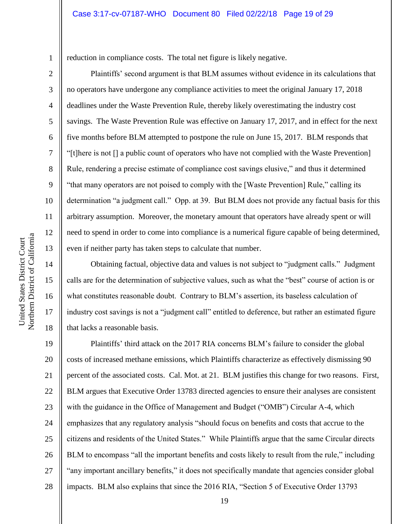reduction in compliance costs. The total net figure is likely negative.

Plaintiffs' second argument is that BLM assumes without evidence in its calculations that no operators have undergone any compliance activities to meet the original January 17, 2018 deadlines under the Waste Prevention Rule, thereby likely overestimating the industry cost savings. The Waste Prevention Rule was effective on January 17, 2017, and in effect for the next five months before BLM attempted to postpone the rule on June 15, 2017. BLM responds that "[t]here is not [] a public count of operators who have not complied with the Waste Prevention] Rule, rendering a precise estimate of compliance cost savings elusive," and thus it determined "that many operators are not poised to comply with the [Waste Prevention] Rule," calling its determination "a judgment call." Opp. at 39. But BLM does not provide any factual basis for this arbitrary assumption. Moreover, the monetary amount that operators have already spent or will need to spend in order to come into compliance is a numerical figure capable of being determined, even if neither party has taken steps to calculate that number.

Obtaining factual, objective data and values is not subject to "judgment calls." Judgment calls are for the determination of subjective values, such as what the "best" course of action is or what constitutes reasonable doubt. Contrary to BLM's assertion, its baseless calculation of industry cost savings is not a "judgment call" entitled to deference, but rather an estimated figure that lacks a reasonable basis.

19 20 21 22 23 24 25 26 27 28 Plaintiffs' third attack on the 2017 RIA concerns BLM's failure to consider the global costs of increased methane emissions, which Plaintiffs characterize as effectively dismissing 90 percent of the associated costs. Cal. Mot. at 21. BLM justifies this change for two reasons. First, BLM argues that Executive Order 13783 directed agencies to ensure their analyses are consistent with the guidance in the Office of Management and Budget ("OMB") Circular A-4, which emphasizes that any regulatory analysis "should focus on benefits and costs that accrue to the citizens and residents of the United States." While Plaintiffs argue that the same Circular directs BLM to encompass "all the important benefits and costs likely to result from the rule," including "any important ancillary benefits," it does not specifically mandate that agencies consider global impacts. BLM also explains that since the 2016 RIA, "Section 5 of Executive Order 13793

1

2

3

4

5

6

7

8

9

10

11

12

13

14

15

16

17

18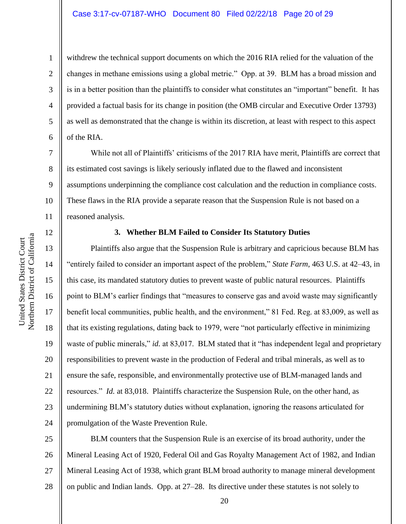#### Case 3:17-cv-07187-WHO Document 80 Filed 02/22/18 Page 20 of 29

9

10

11

12

13

14

15

16

17

18

19

20

21

22

23

24

1

withdrew the technical support documents on which the 2016 RIA relied for the valuation of the changes in methane emissions using a global metric." Opp. at 39. BLM has a broad mission and is in a better position than the plaintiffs to consider what constitutes an "important" benefit. It has provided a factual basis for its change in position (the OMB circular and Executive Order 13793) as well as demonstrated that the change is within its discretion, at least with respect to this aspect of the RIA.

While not all of Plaintiffs' criticisms of the 2017 RIA have merit, Plaintiffs are correct that its estimated cost savings is likely seriously inflated due to the flawed and inconsistent assumptions underpinning the compliance cost calculation and the reduction in compliance costs. These flaws in the RIA provide a separate reason that the Suspension Rule is not based on a reasoned analysis.

# Northern District of California Northern District of California United States District Court United States District Court

#### **3. Whether BLM Failed to Consider Its Statutory Duties**

Plaintiffs also argue that the Suspension Rule is arbitrary and capricious because BLM has "entirely failed to consider an important aspect of the problem," *State Farm*, 463 U.S. at 42–43, in this case, its mandated statutory duties to prevent waste of public natural resources. Plaintiffs point to BLM's earlier findings that "measures to conserve gas and avoid waste may significantly benefit local communities, public health, and the environment," 81 Fed. Reg. at 83,009, as well as that its existing regulations, dating back to 1979, were "not particularly effective in minimizing waste of public minerals," *id.* at 83,017. BLM stated that it "has independent legal and proprietary responsibilities to prevent waste in the production of Federal and tribal minerals, as well as to ensure the safe, responsible, and environmentally protective use of BLM-managed lands and resources." *Id.* at 83,018. Plaintiffs characterize the Suspension Rule, on the other hand, as undermining BLM's statutory duties without explanation, ignoring the reasons articulated for promulgation of the Waste Prevention Rule.

25 26 27 28 BLM counters that the Suspension Rule is an exercise of its broad authority, under the Mineral Leasing Act of 1920, Federal Oil and Gas Royalty Management Act of 1982, and Indian Mineral Leasing Act of 1938, which grant BLM broad authority to manage mineral development on public and Indian lands. Opp. at 27–28. Its directive under these statutes is not solely to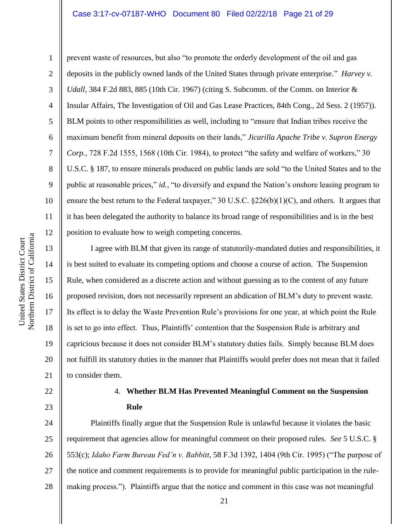#### Case 3:17-cv-07187-WHO Document 80 Filed 02/22/18 Page 21 of 29

10 11 12

1

2

3

5

8

9

4 6 7 prevent waste of resources, but also "to promote the orderly development of the oil and gas deposits in the publicly owned lands of the United States through private enterprise." *Harvey v. Udall*, 384 F.2d 883, 885 (10th Cir. 1967) (citing S. Subcomm. of the Comm. on Interior & Insular Affairs, The Investigation of Oil and Gas Lease Practices, 84th Cong., 2d Sess. 2 (1957)). BLM points to other responsibilities as well, including to "ensure that Indian tribes receive the maximum benefit from mineral deposits on their lands," *Jicarilla Apache Tribe v. Supron Energy Corp.*, 728 F.2d 1555, 1568 (10th Cir. 1984), to protect "the safety and welfare of workers," 30 U.S.C. § 187, to ensure minerals produced on public lands are sold "to the United States and to the public at reasonable prices," *id.*, "to diversify and expand the Nation's onshore leasing program to ensure the best return to the Federal taxpayer," 30 U.S.C.  $\S 226(b)(1)(C)$ , and others. It argues that it has been delegated the authority to balance its broad range of responsibilities and is in the best position to evaluate how to weigh competing concerns.

13 14 15 16 17 18 19 20 21 I agree with BLM that given its range of statutorily-mandated duties and responsibilities, it is best suited to evaluate its competing options and choose a course of action. The Suspension Rule, when considered as a discrete action and without guessing as to the content of any future proposed revision, does not necessarily represent an abdication of BLM's duty to prevent waste. Its effect is to delay the Waste Prevention Rule's provisions for one year, at which point the Rule is set to go into effect. Thus, Plaintiffs' contention that the Suspension Rule is arbitrary and capricious because it does not consider BLM's statutory duties fails. Simply because BLM does not fulfill its statutory duties in the manner that Plaintiffs would prefer does not mean that it failed to consider them.

# 22

23

# 4. **Whether BLM Has Prevented Meaningful Comment on the Suspension Rule**

24 25 26 27 28 Plaintiffs finally argue that the Suspension Rule is unlawful because it violates the basic requirement that agencies allow for meaningful comment on their proposed rules. *See* 5 U.S.C. § 553(c); *Idaho Farm Bureau Fed'n v. Babbitt*, 58 F.3d 1392, 1404 (9th Cir. 1995) ("The purpose of the notice and comment requirements is to provide for meaningful public participation in the rulemaking process."). Plaintiffs argue that the notice and comment in this case was not meaningful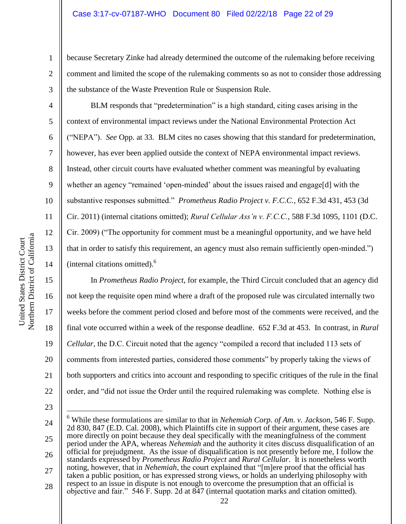because Secretary Zinke had already determined the outcome of the rulemaking before receiving comment and limited the scope of the rulemaking comments so as not to consider those addressing the substance of the Waste Prevention Rule or Suspension Rule.

BLM responds that "predetermination" is a high standard, citing cases arising in the context of environmental impact reviews under the National Environmental Protection Act ("NEPA"). *See* Opp. at 33. BLM cites no cases showing that this standard for predetermination, however, has ever been applied outside the context of NEPA environmental impact reviews. Instead, other circuit courts have evaluated whether comment was meaningful by evaluating whether an agency "remained 'open-minded' about the issues raised and engage[d] with the substantive responses submitted." *Prometheus Radio Project v. F.C.C.*, 652 F.3d 431, 453 (3d Cir. 2011) (internal citations omitted); *Rural Cellular Ass'n v. F.C.C.*, 588 F.3d 1095, 1101 (D.C. Cir. 2009) ("The opportunity for comment must be a meaningful opportunity, and we have held that in order to satisfy this requirement, an agency must also remain sufficiently open-minded.") (internal citations omitted).<sup>6</sup>

In *Prometheus Radio Project*, for example, the Third Circuit concluded that an agency did not keep the requisite open mind where a draft of the proposed rule was circulated internally two weeks before the comment period closed and before most of the comments were received, and the final vote occurred within a week of the response deadline. 652 F.3d at 453. In contrast, in *Rural Cellular*, the D.C. Circuit noted that the agency "compiled a record that included 113 sets of comments from interested parties, considered those comments" by properly taking the views of both supporters and critics into account and responding to specific critiques of the rule in the final order, and "did not issue the Order until the required rulemaking was complete. Nothing else is

23

 $\overline{a}$ 

1

2

3

4

5

6

7

8

9

10

11

12

13

14

15

16

17

18

19

20

21

<sup>24</sup> 25 26 27 28 <sup>6</sup> While these formulations are similar to that in *Nehemiah Corp. of Am. v. Jackson*, 546 F. Supp. 2d 830, 847 (E.D. Cal. 2008), which Plaintiffs cite in support of their argument, these cases are more directly on point because they deal specifically with the meaningfulness of the comment period under the APA, whereas *Nehemiah* and the authority it cites discuss disqualification of an official for prejudgment. As the issue of disqualification is not presently before me, I follow the standards expressed by *Prometheus Radio Project* and *Rural Cellular*. It is nonetheless worth noting, however, that in *Nehemiah*, the court explained that "[m]ere proof that the official has taken a public position, or has expressed strong views, or holds an underlying philosophy with respect to an issue in dispute is not enough to overcome the presumption that an official is objective and fair." 546 F. Supp. 2d at 847 (internal quotation marks and citation omitted).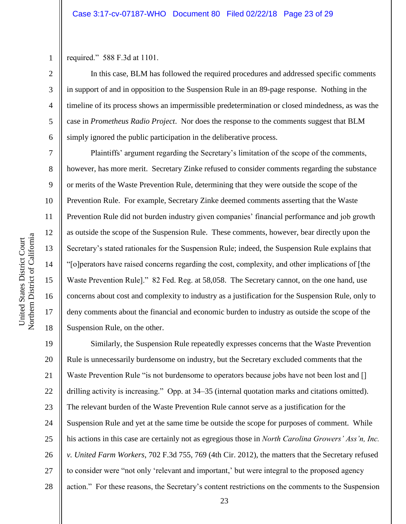required." 588 F.3d at 1101.

1

2

3

4

5

6

7

8

9

10

11

12

13

14

15

16

17

18

In this case, BLM has followed the required procedures and addressed specific comments in support of and in opposition to the Suspension Rule in an 89-page response. Nothing in the timeline of its process shows an impermissible predetermination or closed mindedness, as was the case in *Prometheus Radio Project*. Nor does the response to the comments suggest that BLM simply ignored the public participation in the deliberative process.

Plaintiffs' argument regarding the Secretary's limitation of the scope of the comments, however, has more merit. Secretary Zinke refused to consider comments regarding the substance or merits of the Waste Prevention Rule, determining that they were outside the scope of the Prevention Rule. For example, Secretary Zinke deemed comments asserting that the Waste Prevention Rule did not burden industry given companies' financial performance and job growth as outside the scope of the Suspension Rule. These comments, however, bear directly upon the Secretary's stated rationales for the Suspension Rule; indeed, the Suspension Rule explains that "[o]perators have raised concerns regarding the cost, complexity, and other implications of [the Waste Prevention Rule]." 82 Fed. Reg. at 58,058. The Secretary cannot, on the one hand, use concerns about cost and complexity to industry as a justification for the Suspension Rule, only to deny comments about the financial and economic burden to industry as outside the scope of the Suspension Rule, on the other.

19 20 21 22 23 24 25 26 27 28 Similarly, the Suspension Rule repeatedly expresses concerns that the Waste Prevention Rule is unnecessarily burdensome on industry, but the Secretary excluded comments that the Waste Prevention Rule "is not burdensome to operators because jobs have not been lost and [] drilling activity is increasing." Opp. at 34–35 (internal quotation marks and citations omitted). The relevant burden of the Waste Prevention Rule cannot serve as a justification for the Suspension Rule and yet at the same time be outside the scope for purposes of comment. While his actions in this case are certainly not as egregious those in *North Carolina Growers' Ass'n, Inc. v. United Farm Workers*, 702 F.3d 755, 769 (4th Cir. 2012), the matters that the Secretary refused to consider were "not only 'relevant and important,' but were integral to the proposed agency action." For these reasons, the Secretary's content restrictions on the comments to the Suspension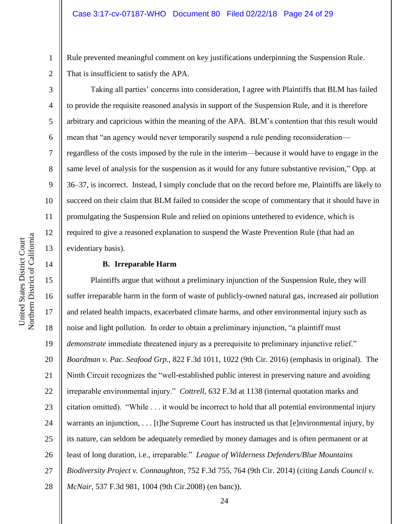Rule prevented meaningful comment on key justifications underpinning the Suspension Rule. That is insufficient to satisfy the APA.

Taking all parties' concerns into consideration, I agree with Plaintiffs that BLM has failed to provide the requisite reasoned analysis in support of the Suspension Rule, and it is therefore arbitrary and capricious within the meaning of the APA. BLM's contention that this result would mean that "an agency would never temporarily suspend a rule pending reconsideration–– regardless of the costs imposed by the rule in the interim––because it would have to engage in the same level of analysis for the suspension as it would for any future substantive revision," Opp. at 36–37, is incorrect. Instead, I simply conclude that on the record before me, Plaintiffs are likely to succeed on their claim that BLM failed to consider the scope of commentary that it should have in promulgating the Suspension Rule and relied on opinions untethered to evidence, which is required to give a reasoned explanation to suspend the Waste Prevention Rule (that had an evidentiary basis).

#### **B. Irreparable Harm**

16 20 22 24 26 27 28 Plaintiffs argue that without a preliminary injunction of the Suspension Rule, they will suffer irreparable harm in the form of waste of publicly-owned natural gas, increased air pollution and related health impacts, exacerbated climate harms, and other environmental injury such as noise and light pollution. In order to obtain a preliminary injunction, "a plaintiff must *demonstrate* immediate threatened injury as a prerequisite to preliminary injunctive relief." *Boardman v. Pac. Seafood Grp.*, 822 F.3d 1011, 1022 (9th Cir. 2016) (emphasis in original). The Ninth Circuit recognizes the "well-established public interest in preserving nature and avoiding irreparable environmental injury." *Cottrell*, 632 F.3d at 1138 (internal quotation marks and citation omitted). "While . . . it would be incorrect to hold that all potential environmental injury warrants an injunction, . . . [t]he Supreme Court has instructed us that [e]nvironmental injury, by its nature, can seldom be adequately remedied by money damages and is often permanent or at least of long duration, i.e., irreparable." *League of Wilderness Defenders/Blue Mountains Biodiversity Project v. Connaughton*, 752 F.3d 755, 764 (9th Cir. 2014) (citing *Lands Council v. McNair*, 537 F.3d 981, 1004 (9th Cir.2008) (en banc)).

1

2

3

4

5

6

7

8

9

10

11

12

13

14

15

17

18

19

21

23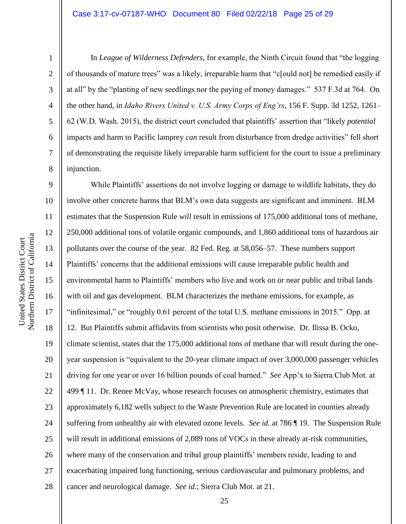#### Case 3:17-cv-07187-WHO Document 80 Filed 02/22/18 Page 25 of 29

1

2

3

4

5

6

7

8

In *League of Wilderness Defenders*, for example, the Ninth Circuit found that "the logging of thousands of mature trees" was a likely, irreparable harm that "c[ould not] be remedied easily if at all" by the "planting of new seedlings nor the paying of money damages." 537 F.3d at 764. On the other hand, in *Idaho Rivers United v. U.S. Army Corps of Eng'rs*, 156 F. Supp. 3d 1252, 1261– 62 (W.D. Wash. 2015), the district court concluded that plaintiffs' assertion that "likely *potential*  impacts and harm to Pacific lamprey *can* result from disturbance from dredge activities" fell short of demonstrating the requisite likely irreparable harm sufficient for the court to issue a preliminary injunction.

9 10 11 12 13 14 15 16 17 18 19 20 21 22 23 24 25 26 27 28 While Plaintiffs' assertions do not involve logging or damage to wildlife habitats, they do involve other concrete harms that BLM's own data suggests are significant and imminent. BLM estimates that the Suspension Rule *will* result in emissions of 175,000 additional tons of methane, 250,000 additional tons of volatile organic compounds, and 1,860 additional tons of hazardous air pollutants over the course of the year. 82 Fed. Reg. at 58,056–57. These numbers support Plaintiffs' concerns that the additional emissions will cause irreparable public health and environmental harm to Plaintiffs' members who live and work on or near public and tribal lands with oil and gas development. BLM characterizes the methane emissions, for example, as "infinitesimal," or "roughly 0.61 percent of the total U.S. methane emissions in 2015." Opp. at 12. But Plaintiffs submit affidavits from scientists who posit otherwise. Dr. Ilissa B. Ocko, climate scientist, states that the 175,000 additional tons of methane that will result during the oneyear suspension is "equivalent to the 20-year climate impact of over 3,000,000 passenger vehicles driving for one year or over 16 billion pounds of coal burned." *See* App'x to Sierra Club Mot. at 499 ¶ 11. Dr. Renee McVay, whose research focuses on atmospheric chemistry, estimates that approximately 6,182 wells subject to the Waste Prevention Rule are located in counties already suffering from unhealthy air with elevated ozone levels. *See id.* at 786 ¶ 19. The Suspension Rule will result in additional emissions of 2,089 tons of VOCs in these already at-risk communities, where many of the conservation and tribal group plaintiffs' members reside, leading to and exacerbating impaired lung functioning, serious cardiovascular and pulmonary problems, and cancer and neurological damage. *See id.*; Sierra Club Mot. at 21.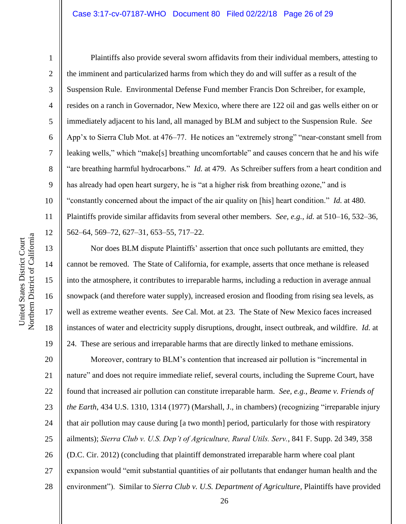#### Case 3:17-cv-07187-WHO Document 80 Filed 02/22/18 Page 26 of 29

1

2

3

4

5

6

7

8

9

10

11

12

13

14

15

16

17

18

19

Plaintiffs also provide several sworn affidavits from their individual members, attesting to the imminent and particularized harms from which they do and will suffer as a result of the Suspension Rule. Environmental Defense Fund member Francis Don Schreiber, for example, resides on a ranch in Governador, New Mexico, where there are 122 oil and gas wells either on or immediately adjacent to his land, all managed by BLM and subject to the Suspension Rule. *See*  App'x to Sierra Club Mot. at 476–77. He notices an "extremely strong" "near-constant smell from leaking wells," which "make[s] breathing uncomfortable" and causes concern that he and his wife "are breathing harmful hydrocarbons." *Id.* at 479. As Schreiber suffers from a heart condition and has already had open heart surgery, he is "at a higher risk from breathing ozone," and is "constantly concerned about the impact of the air quality on [his] heart condition." *Id.* at 480. Plaintiffs provide similar affidavits from several other members. *See, e.g.*, *id.* at 510–16, 532–36, 562–64, 569–72, 627–31, 653–55, 717–22.

Nor does BLM dispute Plaintiffs' assertion that once such pollutants are emitted, they cannot be removed. The State of California, for example, asserts that once methane is released into the atmosphere, it contributes to irreparable harms, including a reduction in average annual snowpack (and therefore water supply), increased erosion and flooding from rising sea levels, as well as extreme weather events. *See* Cal. Mot. at 23. The State of New Mexico faces increased instances of water and electricity supply disruptions, drought, insect outbreak, and wildfire. *Id.* at 24. These are serious and irreparable harms that are directly linked to methane emissions.

20 21 22 23 24 25 26 27 28 Moreover, contrary to BLM's contention that increased air pollution is "incremental in nature" and does not require immediate relief, several courts, including the Supreme Court, have found that increased air pollution can constitute irreparable harm. *See, e.g.*, *Beame v. Friends of the Earth*, 434 U.S. 1310, 1314 (1977) (Marshall, J., in chambers) (recognizing "irreparable injury that air pollution may cause during [a two month] period, particularly for those with respiratory ailments); *Sierra Club v. U.S. Dep't of Agriculture, Rural Utils. Serv.*, 841 F. Supp. 2d 349, 358 (D.C. Cir. 2012) (concluding that plaintiff demonstrated irreparable harm where coal plant expansion would "emit substantial quantities of air pollutants that endanger human health and the environment"). Similar to *Sierra Club v. U.S. Department of Agriculture*, Plaintiffs have provided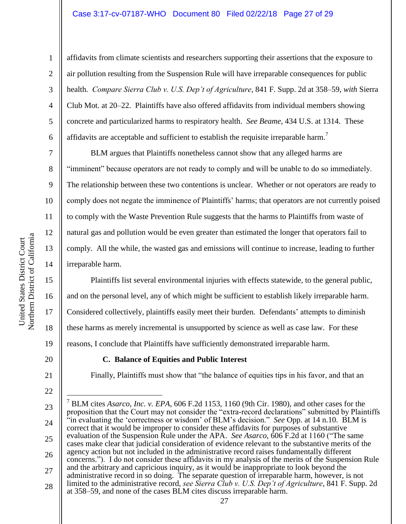#### Case 3:17-cv-07187-WHO Document 80 Filed 02/22/18 Page 27 of 29

affidavits from climate scientists and researchers supporting their assertions that the exposure to air pollution resulting from the Suspension Rule will have irreparable consequences for public health. *Compare Sierra Club v. U.S. Dep't of Agriculture*, 841 F. Supp. 2d at 358–59, *with* Sierra Club Mot. at 20–22. Plaintiffs have also offered affidavits from individual members showing concrete and particularized harms to respiratory health. *See Beame*, 434 U.S. at 1314. These affidavits are acceptable and sufficient to establish the requisite irreparable harm.

BLM argues that Plaintiffs nonetheless cannot show that any alleged harms are "imminent" because operators are not ready to comply and will be unable to do so immediately. The relationship between these two contentions is unclear. Whether or not operators are ready to comply does not negate the imminence of Plaintiffs' harms; that operators are not currently poised to comply with the Waste Prevention Rule suggests that the harms to Plaintiffs from waste of natural gas and pollution would be even greater than estimated the longer that operators fail to comply. All the while, the wasted gas and emissions will continue to increase, leading to further irreparable harm.

Plaintiffs list several environmental injuries with effects statewide, to the general public, and on the personal level, any of which might be sufficient to establish likely irreparable harm. Considered collectively, plaintiffs easily meet their burden. Defendants' attempts to diminish these harms as merely incremental is unsupported by science as well as case law. For these reasons, I conclude that Plaintiffs have sufficiently demonstrated irreparable harm.

20

21

22

 $\overline{a}$ 

1

2

3

4

5

6

7

8

9

10

11

12

13

14

15

16

17

18

19

#### **C. Balance of Equities and Public Interest**

Finally, Plaintiffs must show that "the balance of equities tips in his favor, and that an

28 at 358–59, and none of the cases BLM cites discuss irreparable harm.

<sup>23</sup> 24 25 26 27 <sup>7</sup> BLM cites *Asarco, Inc. v. EPA*, 606 F.2d 1153, 1160 (9th Cir. 1980), and other cases for the proposition that the Court may not consider the "extra-record declarations" submitted by Plaintiffs "in evaluating the 'correctness or wisdom' of BLM's decision." *See* Opp. at 14 n.10. BLM is correct that it would be improper to consider these affidavits for purposes of substantive evaluation of the Suspension Rule under the APA. *See Asarco*, 606 F.2d at 1160 ("The same cases make clear that judicial consideration of evidence relevant to the substantive merits of the agency action but not included in the administrative record raises fundamentally different concerns."). I do not consider these affidavits in my analysis of the merits of the Suspension Rule and the arbitrary and capricious inquiry, as it would be inappropriate to look beyond the administrative record in so doing. The separate question of irreparable harm, however, is not limited to the administrative record, *see Sierra Club v. U.S. Dep't of Agriculture*, 841 F. Supp. 2d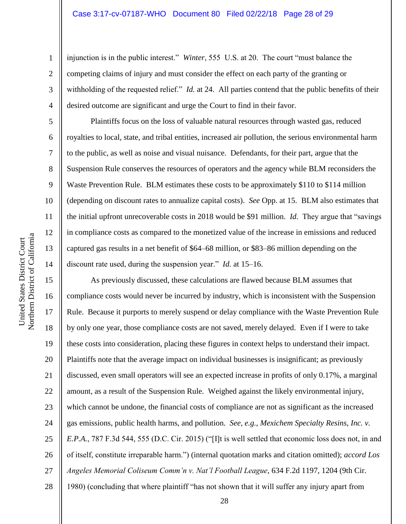#### Case 3:17-cv-07187-WHO Document 80 Filed 02/22/18 Page 28 of 29

injunction is in the public interest." *Winter*, 555 U.S. at 20. The court "must balance the competing claims of injury and must consider the effect on each party of the granting or withholding of the requested relief." *Id.* at 24. All parties contend that the public benefits of their desired outcome are significant and urge the Court to find in their favor.

Plaintiffs focus on the loss of valuable natural resources through wasted gas, reduced royalties to local, state, and tribal entities, increased air pollution, the serious environmental harm to the public, as well as noise and visual nuisance. Defendants, for their part, argue that the Suspension Rule conserves the resources of operators and the agency while BLM reconsiders the Waste Prevention Rule. BLM estimates these costs to be approximately \$110 to \$114 million (depending on discount rates to annualize capital costs). *See* Opp. at 15. BLM also estimates that the initial upfront unrecoverable costs in 2018 would be \$91 million. *Id.* They argue that "savings in compliance costs as compared to the monetized value of the increase in emissions and reduced captured gas results in a net benefit of \$64–68 million, or \$83–86 million depending on the discount rate used, during the suspension year." *Id.* at 15–16.

As previously discussed, these calculations are flawed because BLM assumes that compliance costs would never be incurred by industry, which is inconsistent with the Suspension Rule. Because it purports to merely suspend or delay compliance with the Waste Prevention Rule by only one year, those compliance costs are not saved, merely delayed. Even if I were to take these costs into consideration, placing these figures in context helps to understand their impact. Plaintiffs note that the average impact on individual businesses is insignificant; as previously discussed, even small operators will see an expected increase in profits of only 0.17%, a marginal amount, as a result of the Suspension Rule. Weighed against the likely environmental injury, which cannot be undone, the financial costs of compliance are not as significant as the increased gas emissions, public health harms, and pollution. *See, e.g.*, *Mexichem Specialty Resins, Inc. v. E.P.A.*, 787 F.3d 544, 555 (D.C. Cir. 2015) ("[I]t is well settled that economic loss does not, in and of itself, constitute irreparable harm.") (internal quotation marks and citation omitted); *accord Los Angeles Memorial Coliseum Comm'n v. Nat'l Football League*, 634 F.2d 1197, 1204 (9th Cir. 1980) (concluding that where plaintiff "has not shown that it will suffer any injury apart from

1

2

3

4

5

6

7

8

9

10

11

12

13

14

15

16

17

18

19

20

21

22

23

24

25

26

27

28